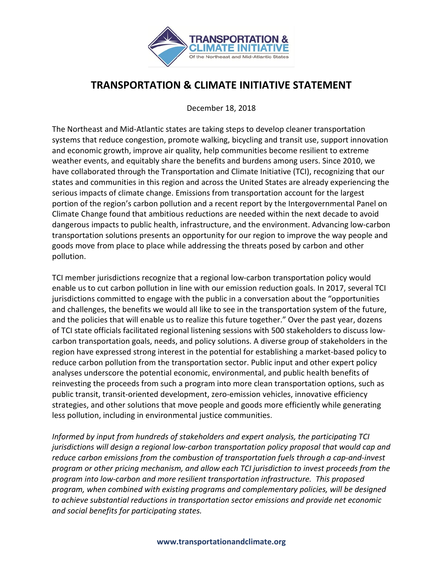

## **TRANSPORTATION & CLIMATE INITIATIVE STATEMENT**

December 18, 2018

The Northeast and Mid-Atlantic states are taking steps to develop cleaner transportation systems that reduce congestion, promote walking, bicycling and transit use, support innovation and economic growth, improve air quality, help communities become resilient to extreme weather events, and equitably share the benefits and burdens among users. Since 2010, we have collaborated through the Transportation and Climate Initiative (TCI), recognizing that our states and communities in this region and across the United States are already experiencing the serious impacts of climate change. Emissions from transportation account for the largest portion of the region's carbon pollution and a recent report by the Intergovernmental Panel on Climate Change found that ambitious reductions are needed within the next decade to avoid dangerous impacts to public health, infrastructure, and the environment. Advancing low-carbon transportation solutions presents an opportunity for our region to improve the way people and goods move from place to place while addressing the threats posed by carbon and other pollution.

TCI member jurisdictions recognize that a regional low-carbon transportation policy would enable us to cut carbon pollution in line with our emission reduction goals. In 2017, several TCI jurisdictions committed to engage with the public in a conversation about the "opportunities and challenges, the benefits we would all like to see in the transportation system of the future, and the policies that will enable us to realize this future together." Over the past year, dozens of TCI state officials facilitated regional listening sessions with 500 stakeholders to discuss lowcarbon transportation goals, needs, and policy solutions. A diverse group of stakeholders in the region have expressed strong interest in the potential for establishing a market-based policy to reduce carbon pollution from the transportation sector. Public input and other expert policy analyses underscore the potential economic, environmental, and public health benefits of reinvesting the proceeds from such a program into more clean transportation options, such as public transit, transit-oriented development, zero-emission vehicles, innovative efficiency strategies, and other solutions that move people and goods more efficiently while generating less pollution, including in environmental justice communities.

*Informed by input from hundreds of stakeholders and expert analysis, the participating TCI jurisdictions will design a regional low-carbon transportation policy proposal that would cap and reduce carbon emissions from the combustion of transportation fuels through a cap-and-invest program or other pricing mechanism, and allow each TCI jurisdiction to invest proceeds from the program into low-carbon and more resilient transportation infrastructure. This proposed program, when combined with existing programs and complementary policies, will be designed to achieve substantial reductions in transportation sector emissions and provide net economic and social benefits for participating states.*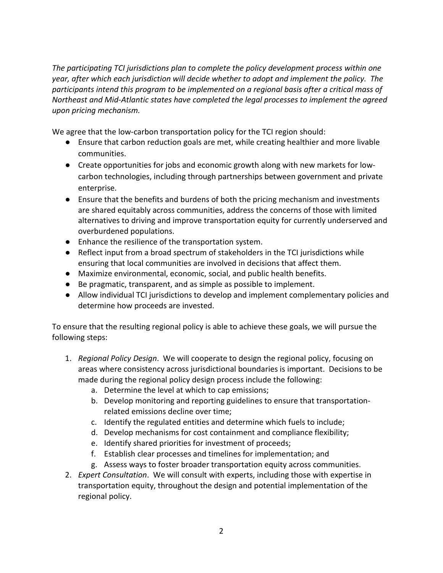*The participating TCI jurisdictions plan to complete the policy development process within one year, after which each jurisdiction will decide whether to adopt and implement the policy. The participants intend this program to be implemented on a regional basis after a critical mass of Northeast and Mid-Atlantic states have completed the legal processes to implement the agreed upon pricing mechanism.*

We agree that the low-carbon transportation policy for the TCI region should:

- Ensure that carbon reduction goals are met, while creating healthier and more livable communities.
- Create opportunities for jobs and economic growth along with new markets for lowcarbon technologies, including through partnerships between government and private enterprise.
- Ensure that the benefits and burdens of both the pricing mechanism and investments are shared equitably across communities, address the concerns of those with limited alternatives to driving and improve transportation equity for currently underserved and overburdened populations.
- Enhance the resilience of the transportation system.
- Reflect input from a broad spectrum of stakeholders in the TCI jurisdictions while ensuring that local communities are involved in decisions that affect them.
- Maximize environmental, economic, social, and public health benefits.
- Be pragmatic, transparent, and as simple as possible to implement.
- Allow individual TCI jurisdictions to develop and implement complementary policies and determine how proceeds are invested.

To ensure that the resulting regional policy is able to achieve these goals, we will pursue the following steps:

- 1. *Regional Policy Design*. We will cooperate to design the regional policy, focusing on areas where consistency across jurisdictional boundaries is important. Decisions to be made during the regional policy design process include the following:
	- a. Determine the level at which to cap emissions;
	- b. Develop monitoring and reporting guidelines to ensure that transportationrelated emissions decline over time;
	- c. Identify the regulated entities and determine which fuels to include;
	- d. Develop mechanisms for cost containment and compliance flexibility;
	- e. Identify shared priorities for investment of proceeds;
	- f. Establish clear processes and timelines for implementation; and
	- g. Assess ways to foster broader transportation equity across communities.
- 2. *Expert Consultation*. We will consult with experts, including those with expertise in transportation equity, throughout the design and potential implementation of the regional policy.